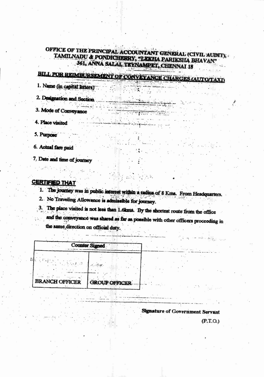## OFFICE OF THE PRINCIPAL ACCOUNTANT GENERAL (CIVIL AUDIT), TAMILNADU & PONDICHERRY, "LEKHA PARIKSHA BHAVAN" 361, ANNA SALAI, TEXNAMPET, CHENNAI 18

**STYPED** 

## **BILL FOR REIMBURSEMENT OF CONVEYANCE CHARGES (AUTO/TAXI)**

 $\mathbb{Z} \times \mathbb{Z}$  . The state  $\mathbb{Z}$ 

**College** 

<u> Chambridge</u>

1. Name (in capital letters)

2. Designation and Section.

3. Mode of Conveyance

4. Place visited

5. Purpose

6. Actual fare paid

7. Date and time of journey

## **CERTIFIED THAT**

1. The journey was in public interest within a radius of 8 Kms. From Headquarters.

2. No Traveling Allowance is admissible for journey.

3. The place visited is not less than 1.6kms. By the shortest route from the office

and the conveyance was shared as far as possible with other officers proceeding in the same direction on official duty.

|                       | <b>Counter Signed</b> |  |
|-----------------------|-----------------------|--|
| ř.                    |                       |  |
| <b>BRANCH OFFICER</b> | <b>GROUP OFFICER</b>  |  |

**Signature of Government Servant** 

 $(P.T.O.)$